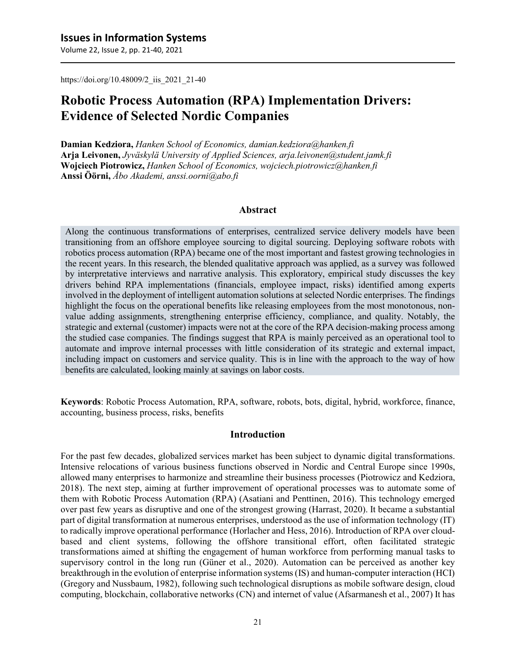Volume 22, Issue 2, pp. 21-40, 2021

https://doi.org/10.48009/2\_iis\_2021\_21-40

# **Robotic Process Automation (RPA) Implementation Drivers: Evidence of Selected Nordic Companies**

**Damian Kedziora,** *Hanken School of Economics, damian.kedziora@hanken.fi* **Arja Leivonen,** *Jyväskylä University of Applied Sciences, arja.leivonen@student.jamk.fi* **Wojciech Piotrowicz,** *Hanken School of Economics, wojciech.piotrowicz@hanken.fi* **Anssi Öörni,** *Åbo Akademi, anssi.oorni@abo.fi*

#### **Abstract**

Along the continuous transformations of enterprises, centralized service delivery models have been transitioning from an offshore employee sourcing to digital sourcing. Deploying software robots with robotics process automation (RPA) became one of the most important and fastest growing technologies in the recent years. In this research, the blended qualitative approach was applied, as a survey was followed by interpretative interviews and narrative analysis. This exploratory, empirical study discusses the key drivers behind RPA implementations (financials, employee impact, risks) identified among experts involved in the deployment of intelligent automation solutions at selected Nordic enterprises. The findings highlight the focus on the operational benefits like releasing employees from the most monotonous, nonvalue adding assignments, strengthening enterprise efficiency, compliance, and quality. Notably, the strategic and external (customer) impacts were not at the core of the RPA decision-making process among the studied case companies. The findings suggest that RPA is mainly perceived as an operational tool to automate and improve internal processes with little consideration of its strategic and external impact, including impact on customers and service quality. This is in line with the approach to the way of how benefits are calculated, looking mainly at savings on labor costs.

**Keywords**: Robotic Process Automation, RPA, software, robots, bots, digital, hybrid, workforce, finance, accounting, business process, risks, benefits

#### **Introduction**

For the past few decades, globalized services market has been subject to dynamic digital transformations. Intensive relocations of various business functions observed in Nordic and Central Europe since 1990s, allowed many enterprises to harmonize and streamline their business processes (Piotrowicz and Kedziora, 2018). The next step, aiming at further improvement of operational processes was to automate some of them with Robotic Process Automation (RPA) (Asatiani and Penttinen, 2016). This technology emerged over past few years as disruptive and one of the strongest growing (Harrast, 2020). It became a substantial part of digital transformation at numerous enterprises, understood as the use of information technology (IT) to radically improve operational performance (Horlacher and Hess, 2016). Introduction of RPA over cloudbased and client systems, following the offshore transitional effort, often facilitated strategic transformations aimed at shifting the engagement of human workforce from performing manual tasks to supervisory control in the long run (Güner et al., 2020). Automation can be perceived as another key breakthrough in the evolution of enterprise information systems (IS) and human‐computer interaction (HCI) (Gregory and Nussbaum, 1982), following such technological disruptions as mobile software design, cloud computing, blockchain, collaborative networks (CN) and internet of value (Afsarmanesh et al., 2007) It has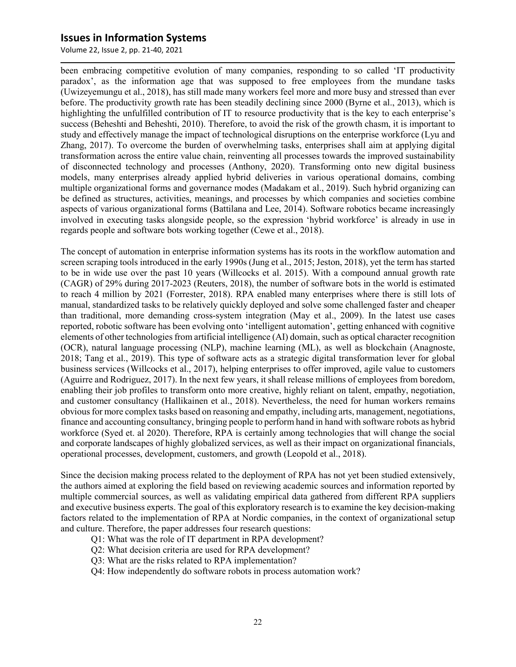Volume 22, Issue 2, pp. 21-40, 2021

been embracing competitive evolution of many companies, responding to so called 'IT productivity paradox', as the information age that was supposed to free employees from the mundane tasks (Uwizeyemungu et al., 2018), has still made many workers feel more and more busy and stressed than ever before. The productivity growth rate has been steadily declining since 2000 (Byrne et al., 2013), which is highlighting the unfulfilled contribution of IT to resource productivity that is the key to each enterprise's success (Beheshti and Beheshti, 2010). Therefore, to avoid the risk of the growth chasm, it is important to study and effectively manage the impact of technological disruptions on the enterprise workforce (Lyu and Zhang, 2017). To overcome the burden of overwhelming tasks, enterprises shall aim at applying digital transformation across the entire value chain, reinventing all processes towards the improved sustainability of disconnected technology and processes (Anthony, 2020). Transforming onto new digital business models, many enterprises already applied hybrid deliveries in various operational domains, combing multiple organizational forms and governance modes (Madakam et al., 2019). Such hybrid organizing can be defined as structures, activities, meanings, and processes by which companies and societies combine aspects of various organizational forms (Battilana and Lee, 2014). Software robotics became increasingly involved in executing tasks alongside people, so the expression 'hybrid workforce' is already in use in regards people and software bots working together (Cewe et al., 2018).

The concept of automation in enterprise information systems has its roots in the workflow automation and screen scraping tools introduced in the early 1990s (Jung et al., 2015; Jeston, 2018), yet the term has started to be in wide use over the past 10 years (Willcocks et al. 2015). With a compound annual growth rate (CAGR) of 29% during 2017-2023 (Reuters, 2018), the number of software bots in the world is estimated to reach 4 million by 2021 (Forrester, 2018). RPA enabled many enterprises where there is still lots of manual, standardized tasks to be relatively quickly deployed and solve some challenged faster and cheaper than traditional, more demanding cross-system integration (May et al., 2009). In the latest use cases reported, robotic software has been evolving onto 'intelligent automation', getting enhanced with cognitive elements of other technologies from artificial intelligence (AI) domain, such as optical character recognition (OCR), natural language processing (NLP), machine learning (ML), as well as blockchain (Anagnoste, 2018; Tang et al., 2019). This type of software acts as a strategic digital transformation lever for global business services (Willcocks et al., 2017), helping enterprises to offer improved, agile value to customers (Aguirre and Rodriguez, 2017). In the next few years, it shall release millions of employees from boredom, enabling their job profiles to transform onto more creative, highly reliant on talent, empathy, negotiation, and customer consultancy (Hallikainen et al., 2018). Nevertheless, the need for human workers remains obvious for more complex tasks based on reasoning and empathy, including arts, management, negotiations, finance and accounting consultancy, bringing people to perform hand in hand with software robots as hybrid workforce (Syed et. al 2020). Therefore, RPA is certainly among technologies that will change the social and corporate landscapes of highly globalized services, as well as their impact on organizational financials, operational processes, development, customers, and growth (Leopold et al., 2018).

Since the decision making process related to the deployment of RPA has not yet been studied extensively, the authors aimed at exploring the field based on reviewing academic sources and information reported by multiple commercial sources, as well as validating empirical data gathered from different RPA suppliers and executive business experts. The goal of this exploratory research is to examine the key decision-making factors related to the implementation of RPA at Nordic companies, in the context of organizational setup and culture. Therefore, the paper addresses four research questions:

- Q1: What was the role of IT department in RPA development?
- Q2: What decision criteria are used for RPA development?
- Q3: What are the risks related to RPA implementation?
- Q4: How independently do software robots in process automation work?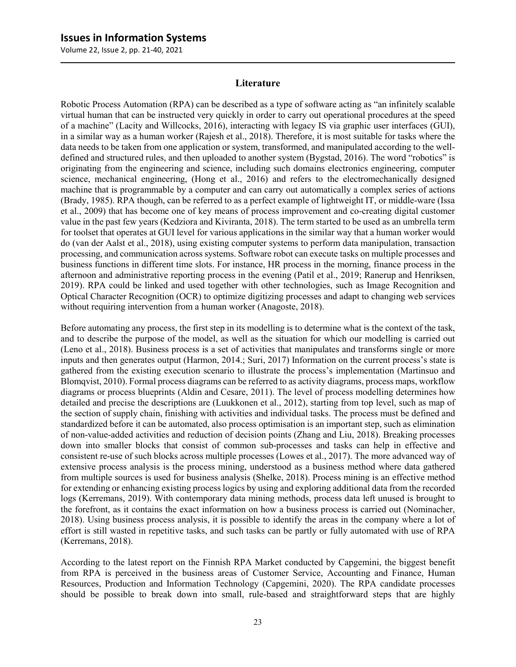Volume 22, Issue 2, pp. 21-40, 2021

#### **Literature**

Robotic Process Automation (RPA) can be described as a type of software acting as "an infinitely scalable virtual human that can be instructed very quickly in order to carry out operational procedures at the speed of a machine" (Lacity and Willcocks, 2016), interacting with legacy IS via graphic user interfaces (GUI), in a similar way as a human worker (Rajesh et al., 2018). Therefore, it is most suitable for tasks where the data needs to be taken from one application or system, transformed, and manipulated according to the welldefined and structured rules, and then uploaded to another system (Bygstad, 2016). The word "robotics" is originating from the engineering and science, including such domains electronics engineering, computer science, mechanical engineering, (Hong et al., 2016) and refers to the electromechanically designed machine that is programmable by a computer and can carry out automatically a complex series of actions (Brady, 1985). RPA though, can be referred to as a perfect example of lightweight IT, or middle-ware (Issa et al., 2009) that has become one of key means of process improvement and co-creating digital customer value in the past few years (Kedziora and Kiviranta, 2018). The term started to be used as an umbrella term for toolset that operates at GUI level for various applications in the similar way that a human worker would do (van der Aalst et al., 2018), using existing computer systems to perform data manipulation, transaction processing, and communication across systems. Software robot can execute tasks on multiple processes and business functions in different time slots. For instance, HR process in the morning, finance process in the afternoon and administrative reporting process in the evening (Patil et al., 2019; Ranerup and Henriksen, 2019). RPA could be linked and used together with other technologies, such as Image Recognition and Optical Character Recognition (OCR) to optimize digitizing processes and adapt to changing web services without requiring intervention from a human worker (Anagoste, 2018).

Before automating any process, the first step in its modelling is to determine what is the context of the task, and to describe the purpose of the model, as well as the situation for which our modelling is carried out (Leno et al., 2018). Business process is a set of activities that manipulates and transforms single or more inputs and then generates output (Harmon, 2014.; Suri, 2017) Information on the current process's state is gathered from the existing execution scenario to illustrate the process's implementation (Martinsuo and Blomqvist, 2010). Formal process diagrams can be referred to as activity diagrams, process maps, workflow diagrams or process blueprints (Aldin and Cesare, 2011). The level of process modelling determines how detailed and precise the descriptions are (Luukkonen et al., 2012), starting from top level, such as map of the section of supply chain, finishing with activities and individual tasks. The process must be defined and standardized before it can be automated, also process optimisation is an important step, such as elimination of non-value-added activities and reduction of decision points (Zhang and Liu, 2018). Breaking processes down into smaller blocks that consist of common sub-processes and tasks can help in effective and consistent re-use of such blocks across multiple processes (Lowes et al., 2017). The more advanced way of extensive process analysis is the process mining, understood as a business method where data gathered from multiple sources is used for business analysis (Shelke, 2018). Process mining is an effective method for extending or enhancing existing process logics by using and exploring additional data from the recorded logs (Kerremans, 2019). With contemporary data mining methods, process data left unused is brought to the forefront, as it contains the exact information on how a business process is carried out (Nominacher, 2018). Using business process analysis, it is possible to identify the areas in the company where a lot of effort is still wasted in repetitive tasks, and such tasks can be partly or fully automated with use of RPA (Kerremans, 2018).

According to the latest report on the Finnish RPA Market conducted by Capgemini, the biggest benefit from RPA is perceived in the business areas of Customer Service, Accounting and Finance, Human Resources, Production and Information Technology (Capgemini, 2020). The RPA candidate processes should be possible to break down into small, rule-based and straightforward steps that are highly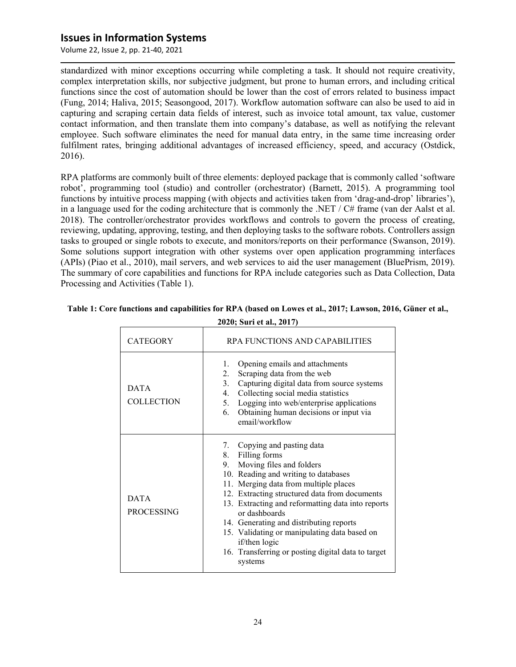Volume 22, Issue 2, pp. 21-40, 2021

standardized with minor exceptions occurring while completing a task. It should not require creativity, complex interpretation skills, nor subjective judgment, but prone to human errors, and including critical functions since the cost of automation should be lower than the cost of errors related to business impact (Fung, 2014; Haliva, 2015; Seasongood, 2017). Workflow automation software can also be used to aid in capturing and scraping certain data fields of interest, such as invoice total amount, tax value, customer contact information, and then translate them into company's database, as well as notifying the relevant employee. Such software eliminates the need for manual data entry, in the same time increasing order fulfilment rates, bringing additional advantages of increased efficiency, speed, and accuracy (Ostdick, 2016).

RPA platforms are commonly built of three elements: deployed package that is commonly called 'software robot', programming tool (studio) and controller (orchestrator) (Barnett, 2015). A programming tool functions by intuitive process mapping (with objects and activities taken from 'drag-and-drop' libraries'), in a language used for the coding architecture that is commonly the .NET /  $C#$  frame (van der Aalst et al. 2018). The controller/orchestrator provides workflows and controls to govern the process of creating, reviewing, updating, approving, testing, and then deploying tasks to the software robots. Controllers assign tasks to grouped or single robots to execute, and monitors/reports on their performance (Swanson, 2019). Some solutions support integration with other systems over open application programming interfaces (APIs) (Piao et al., 2010), mail servers, and web services to aid the user management (BluePrism, 2019). The summary of core capabilities and functions for RPA include categories such as Data Collection, Data Processing and Activities (Table 1).

| <b>CATEGORY</b>                  | RPA FUNCTIONS AND CAPABILITIES                                                                                                                                                                                                                                                                                                                                                                                                                                      |  |  |
|----------------------------------|---------------------------------------------------------------------------------------------------------------------------------------------------------------------------------------------------------------------------------------------------------------------------------------------------------------------------------------------------------------------------------------------------------------------------------------------------------------------|--|--|
| <b>DATA</b><br><b>COLLECTION</b> | Opening emails and attachments<br>1.<br>Scraping data from the web<br>2.<br>Capturing digital data from source systems<br>3.<br>Collecting social media statistics<br>4.<br>5. Logging into web/enterprise applications<br>Obtaining human decisions or input via<br>6.<br>email/workflow                                                                                                                                                                           |  |  |
| <b>DATA</b><br><b>PROCESSING</b> | 7. Copying and pasting data<br>8. Filling forms<br>9. Moving files and folders<br>10. Reading and writing to databases<br>11. Merging data from multiple places<br>12. Extracting structured data from documents<br>13. Extracting and reformatting data into reports<br>or dashboards<br>14. Generating and distributing reports<br>15. Validating or manipulating data based on<br>if/then logic<br>16. Transferring or posting digital data to target<br>systems |  |  |

### **Table 1: Core functions and capabilities for RPA (based on Lowes et al., 2017; Lawson, 2016, Güner et al., 2020; Suri et al., 2017)**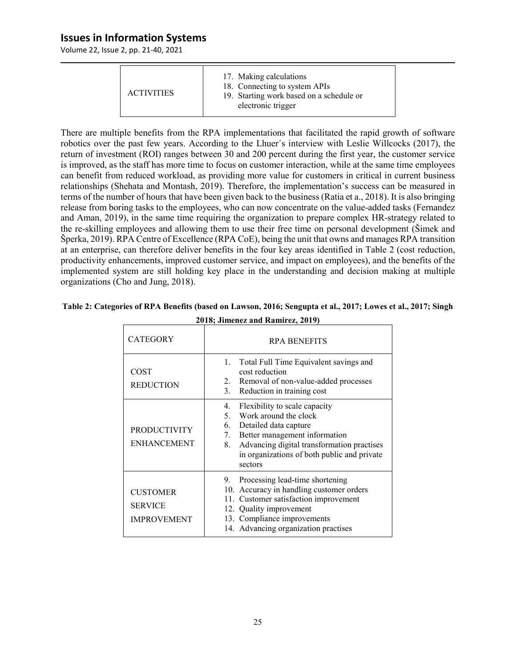Volume 22, Issue 2, pp. 21-40, 2021

| 17. Making calculations<br>18. Connecting to system APIs<br><b>ACTIVITIES</b><br>19. Starting work based on a schedule or<br>electronic trigger |
|-------------------------------------------------------------------------------------------------------------------------------------------------|
|-------------------------------------------------------------------------------------------------------------------------------------------------|

There are multiple benefits from the RPA implementations that facilitated the rapid growth of software robotics over the past few years. According to the Lhuer´s interview with Leslie Willcocks (2017), the return of investment (ROI) ranges between 30 and 200 percent during the first year, the customer service is improved, as the staff has more time to focus on customer interaction, while at the same time employees can benefit from reduced workload, as providing more value for customers in critical in current business relationships (Shehata and Montash, 2019). Therefore, the implementation's success can be measured in terms of the number of hours that have been given back to the business (Ratia et a., 2018). It is also bringing release from boring tasks to the employees, who can now concentrate on the value-added tasks (Fernandez and Aman, 2019), in the same time requiring the organization to prepare complex HR-strategy related to the re-skilling employees and allowing them to use their free time on personal development (Šimek and Šperka, 2019). RPA Centre of Excellence (RPA CoE), being the unit that owns and manages RPA transition at an enterprise, can therefore deliver benefits in the four key areas identified in Table 2 (cost reduction, productivity enhancements, improved customer service, and impact on employees), and the benefits of the implemented system are still holding key place in the understanding and decision making at multiple organizations (Cho and Jung, 2018).

| <b>CATEGORY</b>                                         | <b>RPA BENEFITS</b>                                                                                                                                                                                                                                 |  |
|---------------------------------------------------------|-----------------------------------------------------------------------------------------------------------------------------------------------------------------------------------------------------------------------------------------------------|--|
| <b>COST</b><br><b>REDUCTION</b>                         | Total Full Time Equivalent savings and<br>1.<br>cost reduction<br>Removal of non-value-added processes<br>2.<br>Reduction in training cost<br>3.                                                                                                    |  |
| <b>PRODUCTIVITY</b><br><b>ENHANCEMENT</b>               | Flexibility to scale capacity<br>4.<br>Work around the clock<br>5.<br>Detailed data capture<br>6.<br>7. Better management information<br>Advancing digital transformation practises<br>8.<br>in organizations of both public and private<br>sectors |  |
| <b>CUSTOMER</b><br><b>SERVICE</b><br><b>IMPROVEMENT</b> | 9. Processing lead-time shortening<br>10. Accuracy in handling customer orders<br>11. Customer satisfaction improvement<br>12. Quality improvement<br>13. Compliance improvements<br>14. Advancing organization practises                           |  |

| Table 2: Categories of RPA Benefits (based on Lawson, 2016; Sengupta et al., 2017; Lowes et al., 2017; Singh |  |
|--------------------------------------------------------------------------------------------------------------|--|
| 2018; Jimenez and Ramirez, 2019)                                                                             |  |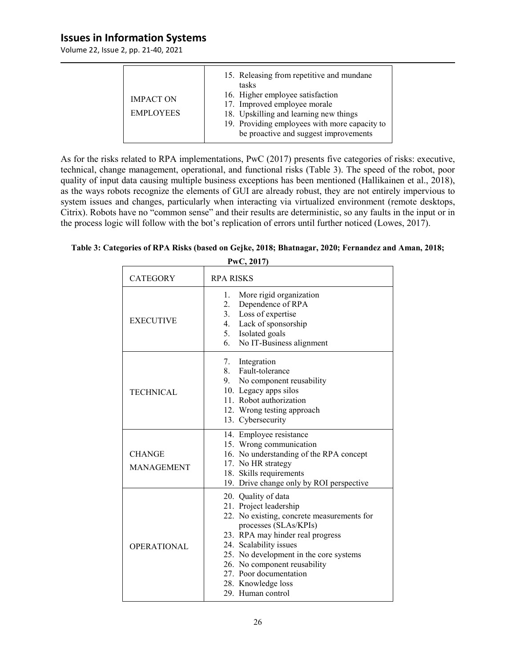Volume 22, Issue 2, pp. 21-40, 2021

| <b>IMPACT ON</b><br><b>EMPLOYEES</b> | 15. Releasing from repetitive and mundane<br>tasks<br>16. Higher employee satisfaction<br>17. Improved employee morale<br>18. Upskilling and learning new things<br>19. Providing employees with more capacity to<br>be proactive and suggest improvements |
|--------------------------------------|------------------------------------------------------------------------------------------------------------------------------------------------------------------------------------------------------------------------------------------------------------|
|                                      |                                                                                                                                                                                                                                                            |

As for the risks related to RPA implementations, PwC (2017) presents five categories of risks: executive, technical, change management, operational, and functional risks (Table 3). The speed of the robot, poor quality of input data causing multiple business exceptions has been mentioned (Hallikainen et al., 2018), as the ways robots recognize the elements of GUI are already robust, they are not entirely impervious to system issues and changes, particularly when interacting via virtualized environment (remote desktops, Citrix). Robots have no "common sense" and their results are deterministic, so any faults in the input or in the process logic will follow with the bot's replication of errors until further noticed (Lowes, 2017).

# **Table 3: Categories of RPA Risks (based on Gejke, 2018; Bhatnagar, 2020; Fernandez and Aman, 2018;**

**PwC, 2017)**

| <b>CATEGORY</b>                    | <b>RPA RISKS</b>                                                                                                                                                                                                                                                                                                                  |  |
|------------------------------------|-----------------------------------------------------------------------------------------------------------------------------------------------------------------------------------------------------------------------------------------------------------------------------------------------------------------------------------|--|
| <b>EXECUTIVE</b>                   | More rigid organization<br>1.<br>Dependence of RPA<br>2.<br>3.<br>Loss of expertise<br>4. Lack of sponsorship<br>5. Isolated goals<br>6.<br>No IT-Business alignment                                                                                                                                                              |  |
| <b>TECHNICAL</b>                   | Integration<br>7.<br>8<br>Fault-tolerance<br>9. No component reusability<br>10. Legacy apps silos<br>11. Robot authorization<br>12. Wrong testing approach<br>13. Cybersecurity                                                                                                                                                   |  |
| <b>CHANGE</b><br><b>MANAGEMENT</b> | 14. Employee resistance<br>15. Wrong communication<br>16. No understanding of the RPA concept<br>17. No HR strategy<br>18. Skills requirements<br>19. Drive change only by ROI perspective                                                                                                                                        |  |
| <b>OPERATIONAL</b>                 | 20. Quality of data<br>21. Project leadership<br>22. No existing, concrete measurements for<br>processes (SLAs/KPIs)<br>23. RPA may hinder real progress<br>24. Scalability issues<br>25. No development in the core systems<br>26. No component reusability<br>27. Poor documentation<br>28. Knowledge loss<br>29. Human control |  |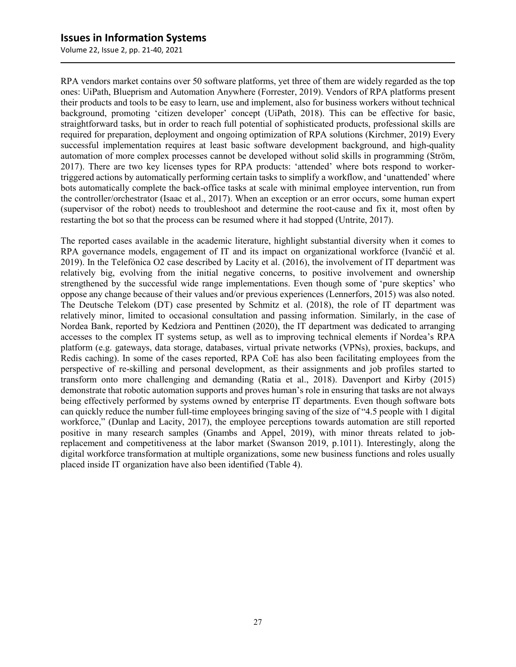Volume 22, Issue 2, pp. 21-40, 2021

RPA vendors market contains over 50 software platforms, yet three of them are widely regarded as the top ones: UiPath, Blueprism and Automation Anywhere (Forrester, 2019). Vendors of RPA platforms present their products and tools to be easy to learn, use and implement, also for business workers without technical background, promoting 'citizen developer' concept (UiPath, 2018). This can be effective for basic, straightforward tasks, but in order to reach full potential of sophisticated products, professional skills are required for preparation, deployment and ongoing optimization of RPA solutions (Kirchmer, 2019) Every successful implementation requires at least basic software development background, and high-quality automation of more complex processes cannot be developed without solid skills in programming (Ström, 2017). There are two key licenses types for RPA products: 'attended' where bots respond to workertriggered actions by automatically performing certain tasks to simplify a workflow, and 'unattended' where bots automatically complete the back-office tasks at scale with minimal employee intervention, run from the controller/orchestrator (Isaac et al., 2017). When an exception or an error occurs, some human expert (supervisor of the robot) needs to troubleshoot and determine the root-cause and fix it, most often by restarting the bot so that the process can be resumed where it had stopped (Untrite, 2017).

The reported cases available in the academic literature, highlight substantial diversity when it comes to RPA governance models, engagement of IT and its impact on organizational workforce (Ivančić et al. 2019). In the Telefónica O2 case described by Lacity et al. (2016), the involvement of IT department was relatively big, evolving from the initial negative concerns, to positive involvement and ownership strengthened by the successful wide range implementations. Even though some of 'pure skeptics' who oppose any change because of their values and/or previous experiences (Lennerfors, 2015) was also noted. The Deutsche Telekom (DT) case presented by Schmitz et al. (2018), the role of IT department was relatively minor, limited to occasional consultation and passing information. Similarly, in the case of Nordea Bank, reported by Kedziora and Penttinen (2020), the IT department was dedicated to arranging accesses to the complex IT systems setup, as well as to improving technical elements if Nordea's RPA platform (e.g. gateways, data storage, databases, virtual private networks (VPNs), proxies, backups, and Redis caching). In some of the cases reported, RPA CoE has also been facilitating employees from the perspective of re-skilling and personal development, as their assignments and job profiles started to transform onto more challenging and demanding (Ratia et al., 2018). Davenport and Kirby (2015) demonstrate that robotic automation supports and proves human's role in ensuring that tasks are not always being effectively performed by systems owned by enterprise IT departments. Even though software bots can quickly reduce the number full-time employees bringing saving of the size of "4.5 people with 1 digital workforce," (Dunlap and Lacity, 2017), the employee perceptions towards automation are still reported positive in many research samples (Gnambs and Appel, 2019), with minor threats related to jobreplacement and competitiveness at the labor market (Swanson 2019, p.1011). Interestingly, along the digital workforce transformation at multiple organizations, some new business functions and roles usually placed inside IT organization have also been identified (Table 4).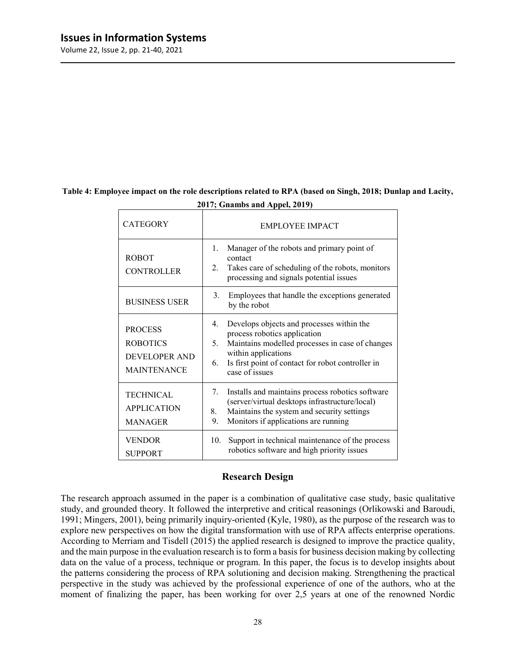Volume 22, Issue 2, pp. 21-40, 2021

| <b>CATEGORY</b>                                                          | <b>EMPLOYEE IMPACT</b>                                                                                                                                                                                                                       |  |
|--------------------------------------------------------------------------|----------------------------------------------------------------------------------------------------------------------------------------------------------------------------------------------------------------------------------------------|--|
| <b>ROBOT</b><br><b>CONTROLLER</b>                                        | Manager of the robots and primary point of<br>1.<br>contact<br>Takes care of scheduling of the robots, monitors<br>2.<br>processing and signals potential issues                                                                             |  |
| <b>BUSINESS USER</b>                                                     | 3.<br>Employees that handle the exceptions generated<br>by the robot                                                                                                                                                                         |  |
| <b>PROCESS</b><br><b>ROBOTICS</b><br>DEVELOPER AND<br><b>MAINTENANCE</b> | Develops objects and processes within the<br>4.<br>process robotics application<br>Maintains modelled processes in case of changes<br>5.<br>within applications<br>Is first point of contact for robot controller in<br>6.<br>case of issues |  |
| <b>TECHNICAL</b><br><b>APPLICATION</b><br><b>MANAGER</b>                 | Installs and maintains process robotics software<br>7.<br>(server/virtual desktops infrastructure/local)<br>Maintains the system and security settings<br>8.<br>Monitors if applications are running<br>9.                                   |  |
| <b>VENDOR</b><br><b>SUPPORT</b>                                          | Support in technical maintenance of the process<br>10.<br>robotics software and high priority issues                                                                                                                                         |  |

### **Table 4: Employee impact on the role descriptions related to RPA (based on Singh, 2018; Dunlap and Lacity, 2017; Gnambs and Appel, 2019)**

#### **Research Design**

The research approach assumed in the paper is a combination of qualitative case study, basic qualitative study, and grounded theory. It followed the interpretive and critical reasonings (Orlikowski and Baroudi, 1991; Mingers, 2001), being primarily inquiry-oriented (Kyle, 1980), as the purpose of the research was to explore new perspectives on how the digital transformation with use of RPA affects enterprise operations. According to Merriam and Tisdell (2015) the applied research is designed to improve the practice quality, and the main purpose in the evaluation research is to form a basis for business decision making by collecting data on the value of a process, technique or program. In this paper, the focus is to develop insights about the patterns considering the process of RPA solutioning and decision making. Strengthening the practical perspective in the study was achieved by the professional experience of one of the authors, who at the moment of finalizing the paper, has been working for over 2,5 years at one of the renowned Nordic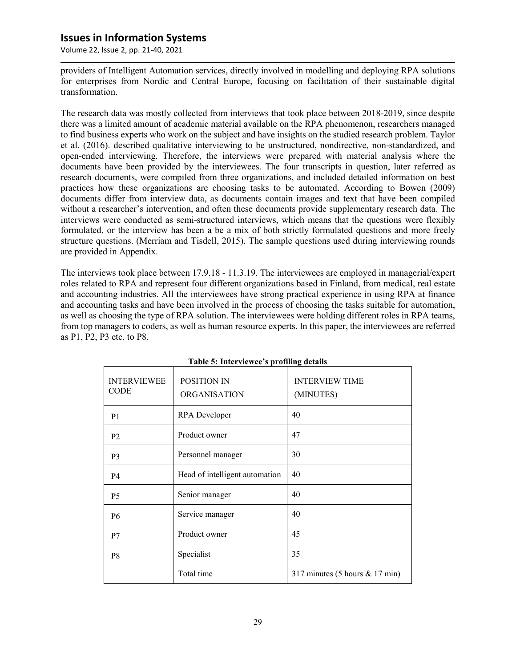Volume 22, Issue 2, pp. 21-40, 2021

providers of Intelligent Automation services, directly involved in modelling and deploying RPA solutions for enterprises from Nordic and Central Europe, focusing on facilitation of their sustainable digital transformation.

The research data was mostly collected from interviews that took place between 2018-2019, since despite there was a limited amount of academic material available on the RPA phenomenon, researchers managed to find business experts who work on the subject and have insights on the studied research problem. Taylor et al. (2016). described qualitative interviewing to be unstructured, nondirective, non-standardized, and open-ended interviewing. Therefore, the interviews were prepared with material analysis where the documents have been provided by the interviewees. The four transcripts in question, later referred as research documents, were compiled from three organizations, and included detailed information on best practices how these organizations are choosing tasks to be automated. According to Bowen (2009) documents differ from interview data, as documents contain images and text that have been compiled without a researcher's intervention, and often these documents provide supplementary research data. The interviews were conducted as semi-structured interviews, which means that the questions were flexibly formulated, or the interview has been a be a mix of both strictly formulated questions and more freely structure questions. (Merriam and Tisdell, 2015). The sample questions used during interviewing rounds are provided in Appendix.

The interviews took place between 17.9.18 - 11.3.19. The interviewees are employed in managerial/expert roles related to RPA and represent four different organizations based in Finland, from medical, real estate and accounting industries. All the interviewees have strong practical experience in using RPA at finance and accounting tasks and have been involved in the process of choosing the tasks suitable for automation, as well as choosing the type of RPA solution. The interviewees were holding different roles in RPA teams, from top managers to coders, as well as human resource experts. In this paper, the interviewees are referred as P1, P2, P3 etc. to P8.

| Table 5. HIRT VICWEE 8 profilling actails |                                    |                                    |  |  |
|-------------------------------------------|------------------------------------|------------------------------------|--|--|
| <b>INTERVIEWEE</b><br><b>CODE</b>         | POSITION IN<br><b>ORGANISATION</b> | <b>INTERVIEW TIME</b><br>(MINUTES) |  |  |
| P <sub>1</sub>                            | RPA Developer                      | 40                                 |  |  |
| P <sub>2</sub>                            | Product owner                      | 47                                 |  |  |
| P <sub>3</sub>                            | Personnel manager                  | 30                                 |  |  |
| P <sub>4</sub>                            | Head of intelligent automation     | 40                                 |  |  |
| P <sub>5</sub>                            | Senior manager                     | 40                                 |  |  |
| <b>P6</b>                                 | Service manager                    | 40                                 |  |  |
| P7                                        | Product owner                      | 45                                 |  |  |
| P8                                        | Specialist                         | 35                                 |  |  |
|                                           | Total time                         | 317 minutes (5 hours $& 17$ min)   |  |  |

#### **Table 5: Interviewee's profiling details**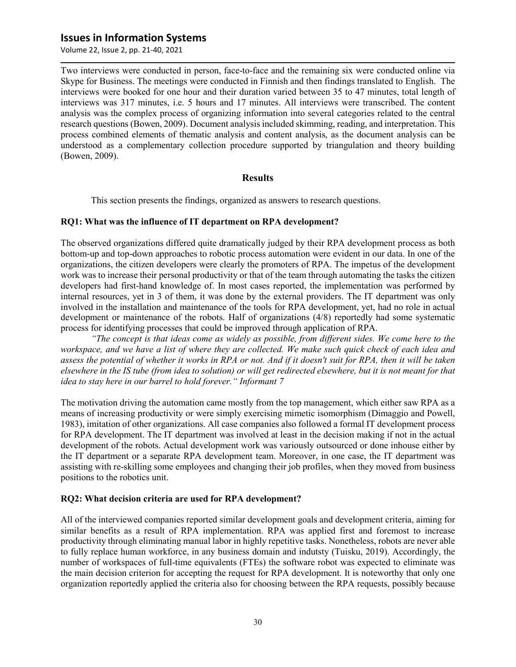Volume 22, Issue 2, pp. 21-40, 2021

Two interviews were conducted in person, face-to-face and the remaining six were conducted online via Skype for Business. The meetings were conducted in Finnish and then findings translated to English. The interviews were booked for one hour and their duration varied between 35 to 47 minutes, total length of interviews was 317 minutes, i.e. 5 hours and 17 minutes. All interviews were transcribed. The content analysis was the complex process of organizing information into several categories related to the central research questions (Bowen, 2009). Document analysis included skimming, reading, and interpretation. This process combined elements of thematic analysis and content analysis, as the document analysis can be understood as a complementary collection procedure supported by triangulation and theory building (Bowen, 2009).

#### **Results**

This section presents the findings, organized as answers to research questions.

#### **RQ1: What was the influence of IT department on RPA development?**

The observed organizations differed quite dramatically judged by their RPA development process as both bottom-up and top-down approaches to robotic process automation were evident in our data. In one of the organizations, the citizen developers were clearly the promoters of RPA. The impetus of the development work was to increase their personal productivity or that of the team through automating the tasks the citizen developers had first-hand knowledge of. In most cases reported, the implementation was performed by internal resources, yet in 3 of them, it was done by the external providers. The IT department was only involved in the installation and maintenance of the tools for RPA development, yet, had no role in actual development or maintenance of the robots. Half of organizations (4/8) reportedly had some systematic process for identifying processes that could be improved through application of RPA.

*"The concept is that ideas come as widely as possible, from different sides. We come here to the workspace, and we have a list of where they are collected. We make such quick check of each idea and assess the potential of whether it works in RPA or not. And if it doesn't suit for RPA, then it will be taken elsewhere in the IS tube (from idea to solution) or will get redirected elsewhere, but it is not meant for that idea to stay here in our barrel to hold forever." Informant 7*

The motivation driving the automation came mostly from the top management, which either saw RPA as a means of increasing productivity or were simply exercising mimetic isomorphism (Dimaggio and Powell, 1983), imitation of other organizations. All case companies also followed a formal IT development process for RPA development. The IT department was involved at least in the decision making if not in the actual development of the robots. Actual development work was variously outsourced or done inhouse either by the IT department or a separate RPA development team. Moreover, in one case, the IT department was assisting with re-skilling some employees and changing their job profiles, when they moved from business positions to the robotics unit.

#### **RQ2: What decision criteria are used for RPA development?**

All of the interviewed companies reported similar development goals and development criteria, aiming for similar benefits as a result of RPA implementation. RPA was applied first and foremost to increase productivity through eliminating manual labor in highly repetitive tasks. Nonetheless, robots are never able to fully replace human workforce, in any business domain and indutsty (Tuisku, 2019). Accordingly, the number of workspaces of full-time equivalents (FTEs) the software robot was expected to eliminate was the main decision criterion for accepting the request for RPA development. It is noteworthy that only one organization reportedly applied the criteria also for choosing between the RPA requests, possibly because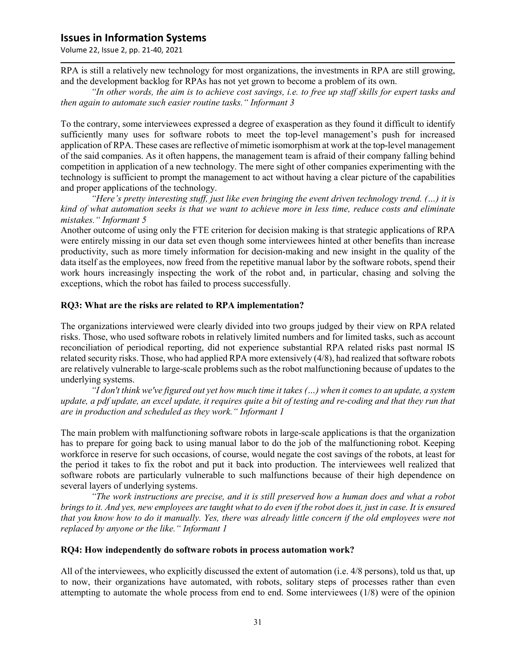Volume 22, Issue 2, pp. 21-40, 2021

RPA is still a relatively new technology for most organizations, the investments in RPA are still growing, and the development backlog for RPAs has not yet grown to become a problem of its own.

*"In other words, the aim is to achieve cost savings, i.e. to free up staff skills for expert tasks and then again to automate such easier routine tasks." Informant 3*

To the contrary, some interviewees expressed a degree of exasperation as they found it difficult to identify sufficiently many uses for software robots to meet the top-level management's push for increased application of RPA. These cases are reflective of mimetic isomorphism at work at the top-level management of the said companies. As it often happens, the management team is afraid of their company falling behind competition in application of a new technology. The mere sight of other companies experimenting with the technology is sufficient to prompt the management to act without having a clear picture of the capabilities and proper applications of the technology.

*"Here's pretty interesting stuff, just like even bringing the event driven technology trend. (…) it is kind of what automation seeks is that we want to achieve more in less time, reduce costs and eliminate mistakes." Informant 5*

Another outcome of using only the FTE criterion for decision making is that strategic applications of RPA were entirely missing in our data set even though some interviewees hinted at other benefits than increase productivity, such as more timely information for decision-making and new insight in the quality of the data itself as the employees, now freed from the repetitive manual labor by the software robots, spend their work hours increasingly inspecting the work of the robot and, in particular, chasing and solving the exceptions, which the robot has failed to process successfully.

#### **RQ3: What are the risks are related to RPA implementation?**

The organizations interviewed were clearly divided into two groups judged by their view on RPA related risks. Those, who used software robots in relatively limited numbers and for limited tasks, such as account reconciliation of periodical reporting, did not experience substantial RPA related risks past normal IS related security risks. Those, who had applied RPA more extensively (4/8), had realized that software robots are relatively vulnerable to large-scale problems such as the robot malfunctioning because of updates to the underlying systems.

*"I don't think we've figured out yet how much time it takes (…) when it comes to an update, a system update, a pdf update, an excel update, it requires quite a bit of testing and re-coding and that they run that are in production and scheduled as they work." Informant 1*

The main problem with malfunctioning software robots in large-scale applications is that the organization has to prepare for going back to using manual labor to do the job of the malfunctioning robot. Keeping workforce in reserve for such occasions, of course, would negate the cost savings of the robots, at least for the period it takes to fix the robot and put it back into production. The interviewees well realized that software robots are particularly vulnerable to such malfunctions because of their high dependence on several layers of underlying systems.

*"The work instructions are precise, and it is still preserved how a human does and what a robot brings to it. And yes, new employees are taught what to do even if the robot does it, just in case. It is ensured that you know how to do it manually. Yes, there was already little concern if the old employees were not replaced by anyone or the like." Informant 1*

#### **RQ4: How independently do software robots in process automation work?**

All of the interviewees, who explicitly discussed the extent of automation (i.e. 4/8 persons), told us that, up to now, their organizations have automated, with robots, solitary steps of processes rather than even attempting to automate the whole process from end to end. Some interviewees (1/8) were of the opinion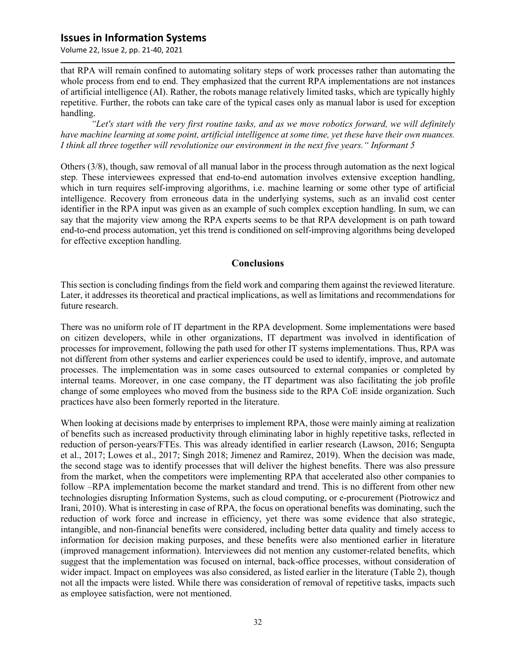Volume 22, Issue 2, pp. 21-40, 2021

that RPA will remain confined to automating solitary steps of work processes rather than automating the whole process from end to end. They emphasized that the current RPA implementations are not instances of artificial intelligence (AI). Rather, the robots manage relatively limited tasks, which are typically highly repetitive. Further, the robots can take care of the typical cases only as manual labor is used for exception handling.

*"Let's start with the very first routine tasks, and as we move robotics forward, we will definitely have machine learning at some point, artificial intelligence at some time, yet these have their own nuances. I think all three together will revolutionize our environment in the next five years." Informant 5*

Others (3/8), though, saw removal of all manual labor in the process through automation as the next logical step. These interviewees expressed that end-to-end automation involves extensive exception handling, which in turn requires self-improving algorithms, i.e. machine learning or some other type of artificial intelligence. Recovery from erroneous data in the underlying systems, such as an invalid cost center identifier in the RPA input was given as an example of such complex exception handling. In sum, we can say that the majority view among the RPA experts seems to be that RPA development is on path toward end-to-end process automation, yet this trend is conditioned on self-improving algorithms being developed for effective exception handling.

#### **Conclusions**

This section is concluding findings from the field work and comparing them against the reviewed literature. Later, it addresses its theoretical and practical implications, as well as limitations and recommendations for future research.

There was no uniform role of IT department in the RPA development. Some implementations were based on citizen developers, while in other organizations, IT department was involved in identification of processes for improvement, following the path used for other IT systems implementations. Thus, RPA was not different from other systems and earlier experiences could be used to identify, improve, and automate processes. The implementation was in some cases outsourced to external companies or completed by internal teams. Moreover, in one case company, the IT department was also facilitating the job profile change of some employees who moved from the business side to the RPA CoE inside organization. Such practices have also been formerly reported in the literature.

When looking at decisions made by enterprises to implement RPA, those were mainly aiming at realization of benefits such as increased productivity through eliminating labor in highly repetitive tasks, reflected in reduction of person-years/FTEs. This was already identified in earlier research (Lawson, 2016; Sengupta et al., 2017; Lowes et al., 2017; Singh 2018; Jimenez and Ramirez, 2019). When the decision was made, the second stage was to identify processes that will deliver the highest benefits. There was also pressure from the market, when the competitors were implementing RPA that accelerated also other companies to follow –RPA implementation become the market standard and trend. This is no different from other new technologies disrupting Information Systems, such as cloud computing, or e-procurement (Piotrowicz and Irani, 2010). What is interesting in case of RPA, the focus on operational benefits was dominating, such the reduction of work force and increase in efficiency, yet there was some evidence that also strategic, intangible, and non-financial benefits were considered, including better data quality and timely access to information for decision making purposes, and these benefits were also mentioned earlier in literature (improved management information). Interviewees did not mention any customer-related benefits, which suggest that the implementation was focused on internal, back-office processes, without consideration of wider impact. Impact on employees was also considered, as listed earlier in the literature (Table 2), though not all the impacts were listed. While there was consideration of removal of repetitive tasks, impacts such as employee satisfaction, were not mentioned.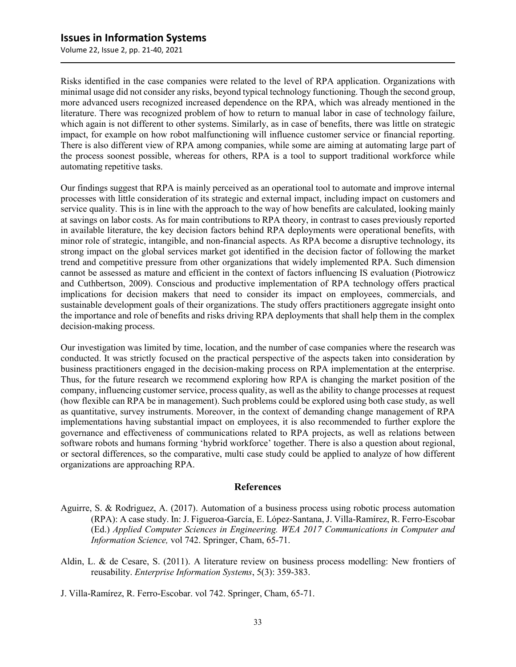Volume 22, Issue 2, pp. 21-40, 2021

Risks identified in the case companies were related to the level of RPA application. Organizations with minimal usage did not consider any risks, beyond typical technology functioning. Though the second group, more advanced users recognized increased dependence on the RPA, which was already mentioned in the literature. There was recognized problem of how to return to manual labor in case of technology failure, which again is not different to other systems. Similarly, as in case of benefits, there was little on strategic impact, for example on how robot malfunctioning will influence customer service or financial reporting. There is also different view of RPA among companies, while some are aiming at automating large part of the process soonest possible, whereas for others, RPA is a tool to support traditional workforce while automating repetitive tasks.

Our findings suggest that RPA is mainly perceived as an operational tool to automate and improve internal processes with little consideration of its strategic and external impact, including impact on customers and service quality. This is in line with the approach to the way of how benefits are calculated, looking mainly at savings on labor costs. As for main contributions to RPA theory, in contrast to cases previously reported in available literature, the key decision factors behind RPA deployments were operational benefits, with minor role of strategic, intangible, and non-financial aspects. As RPA become a disruptive technology, its strong impact on the global services market got identified in the decision factor of following the market trend and competitive pressure from other organizations that widely implemented RPA. Such dimension cannot be assessed as mature and efficient in the context of factors influencing IS evaluation (Piotrowicz and Cuthbertson, 2009). Conscious and productive implementation of RPA technology offers practical implications for decision makers that need to consider its impact on employees, commercials, and sustainable development goals of their organizations. The study offers practitioners aggregate insight onto the importance and role of benefits and risks driving RPA deployments that shall help them in the complex decision-making process.

Our investigation was limited by time, location, and the number of case companies where the research was conducted. It was strictly focused on the practical perspective of the aspects taken into consideration by business practitioners engaged in the decision-making process on RPA implementation at the enterprise. Thus, for the future research we recommend exploring how RPA is changing the market position of the company, influencing customer service, process quality, as well as the ability to change processes at request (how flexible can RPA be in management). Such problems could be explored using both case study, as well as quantitative, survey instruments. Moreover, in the context of demanding change management of RPA implementations having substantial impact on employees, it is also recommended to further explore the governance and effectiveness of communications related to RPA projects, as well as relations between software robots and humans forming 'hybrid workforce' together. There is also a question about regional, or sectoral differences, so the comparative, multi case study could be applied to analyze of how different organizations are approaching RPA.

#### **References**

- Aguirre, S. & Rodriguez, A. (2017). Automation of a business process using robotic process automation (RPA): A case study. In: J. Figueroa-García, E. López-Santana, J. Villa-Ramírez, R. Ferro-Escobar (Ed.) *Applied Computer Sciences in Engineering. WEA 2017 Communications in Computer and Information Science,* vol 742. Springer, Cham, 65-71.
- Aldin, L. & de Cesare, S. (2011). A literature review on business process modelling: New frontiers of reusability. *Enterprise Information Systems*, 5(3): 359-383.
- J. Villa-Ramírez, R. Ferro-Escobar. vol 742. Springer, Cham, 65-71.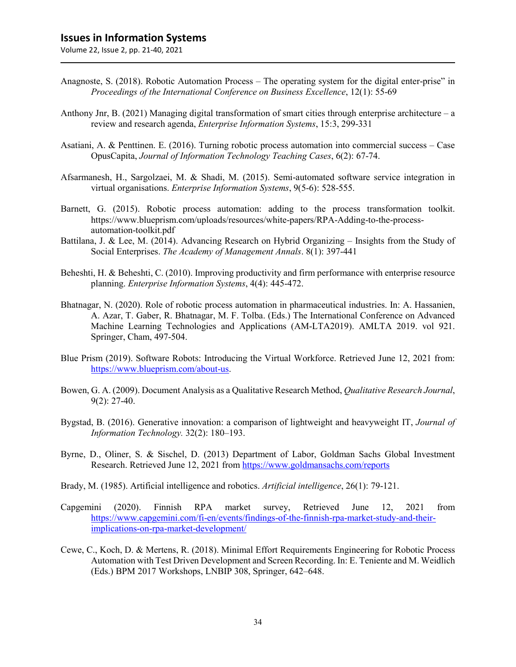- Anagnoste, S. (2018). Robotic Automation Process The operating system for the digital enter-prise" in *Proceedings of the International Conference on Business Excellence*, 12(1): 55-69
- Anthony Jnr, B. (2021) Managing digital transformation of smart cities through enterprise architecture a review and research agenda, *Enterprise Information Systems*, 15:3, 299-331
- Asatiani, A. & Penttinen. E. (2016). Turning robotic process automation into commercial success Case OpusCapita, *Journal of Information Technology Teaching Cases*, 6(2): 67-74.
- Afsarmanesh, H., Sargolzaei, M. & Shadi, M. (2015). Semi-automated software service integration in virtual organisations. *Enterprise Information Systems*, 9(5-6): 528-555.
- Barnett, G. (2015). Robotic process automation: adding to the process transformation toolkit. https://www.blueprism.com/uploads/resources/white-papers/RPA-Adding-to-the-processautomation-toolkit.pdf
- Battilana, J. & Lee, M. (2014). Advancing Research on Hybrid Organizing Insights from the Study of Social Enterprises. *The Academy of Management Annals*. 8(1): 397-441
- Beheshti, H. & Beheshti, C. (2010). Improving productivity and firm performance with enterprise resource planning. *Enterprise Information Systems*, 4(4): 445-472.
- Bhatnagar, N. (2020). Role of robotic process automation in pharmaceutical industries. In: A. Hassanien, A. Azar, T. Gaber, R. Bhatnagar, M. F. Tolba. (Eds.) The International Conference on Advanced Machine Learning Technologies and Applications (AM-LTA2019). AMLTA 2019. vol 921. Springer, Cham, 497-504.
- Blue Prism (2019). Software Robots: Introducing the Virtual Workforce. Retrieved June 12, 2021 from: [https://www.blueprism.com/about-us.](https://www.blueprism.com/about-us)
- Bowen, G. A. (2009). Document Analysis as a Qualitative Research Method, *Qualitative Research Journal*, 9(2): 27-40.
- Bygstad, B. (2016). Generative innovation: a comparison of lightweight and heavyweight IT, *Journal of Information Technology.* 32(2): 180–193.
- Byrne, D., Oliner, S. & Sischel, D. (2013) Department of Labor, Goldman Sachs Global Investment Research. Retrieved June 12, 2021 fro[m https://www.goldmansachs.com/reports](https://www.goldmansachs.com/reports)
- Brady, M. (1985). Artificial intelligence and robotics. *Artificial intelligence*, 26(1): 79-121.
- Capgemini (2020). Finnish RPA market survey, Retrieved June 12, 2021 from [https://www.capgemini.com/fi-en/events/findings-of-the-finnish-rpa-market-study-and-their](https://www.capgemini.com/fi-en/events/findings-of-the-finnish-rpa-market-study-and-their-implications-on-rpa-market-development/)[implications-on-rpa-market-development/](https://www.capgemini.com/fi-en/events/findings-of-the-finnish-rpa-market-study-and-their-implications-on-rpa-market-development/)
- Cewe, C., Koch, D. & Mertens, R. (2018). Minimal Effort Requirements Engineering for Robotic Process Automation with Test Driven Development and Screen Recording. In: E. Teniente and M. Weidlich (Eds.) BPM 2017 Workshops, LNBIP 308, Springer, 642–648.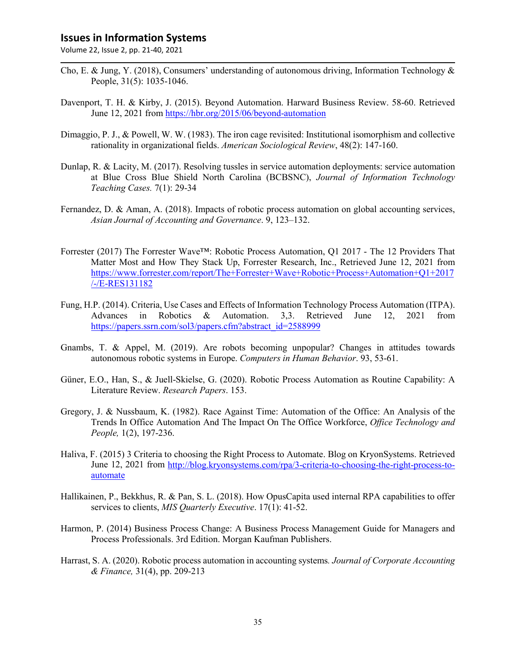- Cho, E. & Jung, Y. (2018), Consumers' understanding of autonomous driving, Information Technology & People, 31(5): 1035-1046.
- Davenport, T. H. & Kirby, J. (2015). Beyond Automation. Harward Business Review. 58-60. Retrieved June 12, 2021 from<https://hbr.org/2015/06/beyond-automation>
- Dimaggio, P. J., & Powell, W. W. (1983). The iron cage revisited: Institutional isomorphism and collective rationality in organizational fields. *American Sociological Review*, 48(2): 147-160.
- Dunlap, R. & Lacity, M. (2017). Resolving tussles in service automation deployments: service automation at Blue Cross Blue Shield North Carolina (BCBSNC), *Journal of Information Technology Teaching Cases.* 7(1): 29-34
- Fernandez, D. & Aman, A. (2018). Impacts of robotic process automation on global accounting services, *Asian Journal of Accounting and Governance*. 9, 123–132.
- Forrester (2017) The Forrester Wave™: Robotic Process Automation, Q1 2017 The 12 Providers That Matter Most and How They Stack Up, Forrester Research, Inc., Retrieved June 12, 2021 from [https://www.forrester.com/report/The+Forrester+Wave+Robotic+Process+Automation+Q1+2017](https://www.forrester.com/report/The+Forrester+Wave+Robotic+Process+Automation+Q1+2017/-/E-RES131182) [/-/E-RES131182](https://www.forrester.com/report/The+Forrester+Wave+Robotic+Process+Automation+Q1+2017/-/E-RES131182)
- Fung, H.P. (2014). Criteria, Use Cases and Effects of Information Technology Process Automation (ITPA). Advances in Robotics & Automation. 3,3. Retrieved June 12, 2021 from [https://papers.ssrn.com/sol3/papers.cfm?abstract\\_id=2588999](https://papers.ssrn.com/sol3/papers.cfm?abstract_id=2588999)
- Gnambs, T. & Appel, M. (2019). Are robots becoming unpopular? Changes in attitudes towards autonomous robotic systems in Europe. *Computers in Human Behavior*. 93, 53-61.
- Güner, E.O., Han, S., & Juell-Skielse, G. (2020). Robotic Process Automation as Routine Capability: A Literature Review. *Research Papers*. 153.
- Gregory, J. & Nussbaum, K. (1982). Race Against Time: Automation of the Office: An Analysis of the Trends In Office Automation And The Impact On The Office Workforce, *Office Technology and People,* 1(2), 197-236.
- Haliva, F. (2015) 3 Criteria to choosing the Right Process to Automate. Blog on KryonSystems. Retrieved June 12, 2021 from [http://blog.kryonsystems.com/rpa/3-criteria-to-choosing-the-right-process-to](http://blog.kryonsystems.com/rpa/3-criteria-to-choosing-the-right-process-to-automate)[automate](http://blog.kryonsystems.com/rpa/3-criteria-to-choosing-the-right-process-to-automate)
- Hallikainen, P., Bekkhus, R. & Pan, S. L. (2018). How OpusCapita used internal RPA capabilities to offer services to clients, *MIS Quarterly Executive*. 17(1): 41-52.
- Harmon, P. (2014) Business Process Change: A Business Process Management Guide for Managers and Process Professionals. 3rd Edition. Morgan Kaufman Publishers.
- Harrast, S. A. (2020). Robotic process automation in accounting systems*. Journal of Corporate Accounting & Finance,* 31(4), pp. 209-213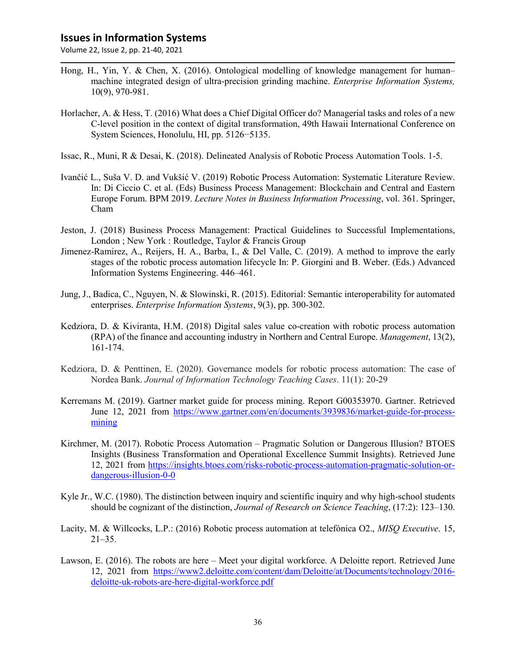- Hong, H., Yin, Y. & Chen, X. (2016). Ontological modelling of knowledge management for human– machine integrated design of ultra-precision grinding machine. *Enterprise Information Systems,* 10(9), 970-981.
- Horlacher, A. & Hess, T. (2016) What does a Chief Digital Officer do? Managerial tasks and roles of a new C-level position in the context of digital transformation, 49th Hawaii International Conference on System Sciences, Honolulu, HI, pp. 5126−5135.
- Issac, R., Muni, R & Desai, K. (2018). Delineated Analysis of Robotic Process Automation Tools. 1-5.
- Ivančić L., Suša V. D. and Vukšić V. (2019) Robotic Process Automation: Systematic Literature Review. In: Di Ciccio C. et al. (Eds) Business Process Management: Blockchain and Central and Eastern Europe Forum. BPM 2019. *Lecture Notes in Business Information Processing*, vol. 361. Springer, Cham
- Jeston, J. (2018) Business Process Management: Practical Guidelines to Successful Implementations, London ; New York : Routledge, Taylor & Francis Group
- Jimenez-Ramirez, A., Reijers, H. A., Barba, I., & Del Valle, C. (2019). A method to improve the early stages of the robotic process automation lifecycle In: P. Giorgini and B. Weber. (Eds.) Advanced Information Systems Engineering. 446–461.
- Jung, J., Badica, C., Nguyen, N. & Slowinski, R. (2015). Editorial: Semantic interoperability for automated enterprises. *Enterprise Information Systems*, 9(3), pp. 300-302.
- Kedziora, D. & Kiviranta, H.M. (2018) Digital sales value co-creation with robotic process automation (RPA) of the finance and accounting industry in Northern and Central Europe. *Management*, 13(2), 161-174.
- Kedziora, D. & Penttinen, E. (2020). Governance models for robotic process automation: The case of Nordea Bank. *Journal of Information Technology Teaching Cases*. 11(1): 20-29
- Kerremans M. (2019). Gartner market guide for process mining. Report G00353970. Gartner. Retrieved June 12, 2021 from [https://www.gartner.com/en/documents/3939836/market-guide-for-process](https://www.gartner.com/en/documents/3939836/market-guide-for-process-mining)[mining](https://www.gartner.com/en/documents/3939836/market-guide-for-process-mining)
- Kirchmer, M. (2017). Robotic Process Automation Pragmatic Solution or Dangerous Illusion? BTOES Insights (Business Transformation and Operational Excellence Summit Insights). Retrieved June 12, 2021 from [https://insights.btoes.com/risks-robotic-process-automation-pragmatic-solution-or](https://insights.btoes.com/risks-robotic-process-automation-pragmatic-solution-or-dangerous-illusion-0-0)[dangerous-illusion-0-0](https://insights.btoes.com/risks-robotic-process-automation-pragmatic-solution-or-dangerous-illusion-0-0)
- Kyle Jr., W.C. (1980). The distinction between inquiry and scientific inquiry and why high-school students should be cognizant of the distinction, *Journal of Research on Science Teaching*, (17:2): 123–130.
- Lacity, M. & Willcocks, L.P.: (2016) Robotic process automation at telefónica O2., *MISQ Executive*. 15,  $21 - 35$ .
- Lawson, E. (2016). The robots are here Meet your digital workforce. A Deloitte report. Retrieved June 12, 2021 from [https://www2.deloitte.com/content/dam/Deloitte/at/Documents/technology/2016](https://www2.deloitte.com/content/dam/Deloitte/at/Documents/technology/2016-deloitte-uk-robots-are-here-digital-workforce.pdf) [deloitte-uk-robots-are-here-digital-workforce.pdf](https://www2.deloitte.com/content/dam/Deloitte/at/Documents/technology/2016-deloitte-uk-robots-are-here-digital-workforce.pdf)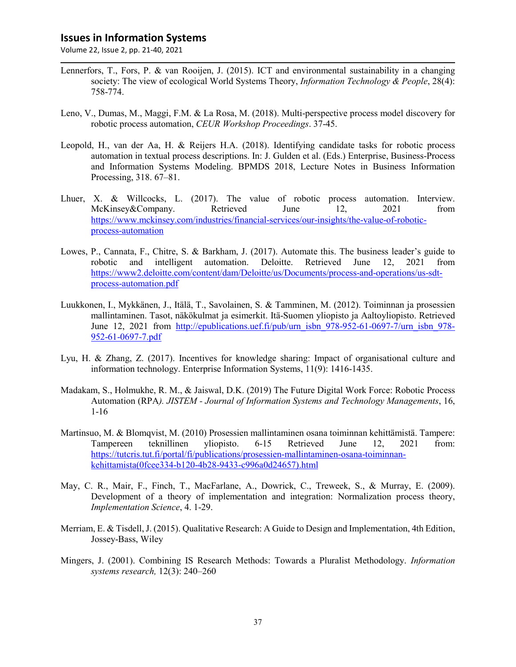- Lennerfors, T., Fors, P. & van Rooijen, J. (2015). ICT and environmental sustainability in a changing society: The view of ecological World Systems Theory, *Information Technology & People*, 28(4): 758-774.
- Leno, V., Dumas, M., Maggi, F.M. & La Rosa, M. (2018). Multi-perspective process model discovery for robotic process automation, *CEUR Workshop Proceedings*. 37-45.
- Leopold, H., van der Aa, H. & Reijers H.A. (2018). Identifying candidate tasks for robotic process automation in textual process descriptions. In: J. Gulden et al. (Eds.) Enterprise, Business-Process and Information Systems Modeling. BPMDS 2018, Lecture Notes in Business Information Processing, 318. 67–81.
- Lhuer, X. & Willcocks, L. (2017). The value of robotic process automation. Interview. McKinsey&Company. Retrieved June 12, 2021 from [https://www.mckinsey.com/industries/financial-services/our-insights/the-value-of-robotic](https://www.mckinsey.com/industries/financial-services/our-insights/the-value-of-robotic-process-automation)[process-automation](https://www.mckinsey.com/industries/financial-services/our-insights/the-value-of-robotic-process-automation)
- Lowes, P., Cannata, F., Chitre, S. & Barkham, J. (2017). Automate this. The business leader's guide to robotic and intelligent automation. Deloitte. Retrieved June 12, 2021 from [https://www2.deloitte.com/content/dam/Deloitte/us/Documents/process-and-operations/us-sdt](https://www2.deloitte.com/content/dam/Deloitte/us/Documents/process-and-operations/us-sdt-process-automation.pdf)[process-automation.pdf](https://www2.deloitte.com/content/dam/Deloitte/us/Documents/process-and-operations/us-sdt-process-automation.pdf)
- Luukkonen, I., Mykkänen, J., Itälä, T., Savolainen, S. & Tamminen, M. (2012). Toiminnan ja prosessien mallintaminen. Tasot, näkökulmat ja esimerkit. Itä-Suomen yliopisto ja Aaltoyliopisto. Retrieved June 12, 2021 from [http://epublications.uef.fi/pub/urn\\_isbn\\_978-952-61-0697-7/urn\\_isbn\\_978-](http://epublications.uef.fi/pub/urn_isbn_978-952-61-0697-7/urn_isbn_978-952-61-0697-7.pdf) [952-61-0697-7.pdf](http://epublications.uef.fi/pub/urn_isbn_978-952-61-0697-7/urn_isbn_978-952-61-0697-7.pdf)
- Lyu, H. & Zhang, Z. (2017). Incentives for knowledge sharing: Impact of organisational culture and information technology. Enterprise Information Systems, 11(9): 1416-1435.
- Madakam, S., Holmukhe, R. M., & Jaiswal, D.K. (2019) The Future Digital Work Force: Robotic Process Automation (RPA*). JISTEM - Journal of Information Systems and Technology Managements*, 16, 1-16
- Martinsuo, M. & Blomqvist, M. (2010) Prosessien mallintaminen osana toiminnan kehittämistä. Tampere: Tampereen teknillinen yliopisto. 6-15 Retrieved June 12, 2021 from: [https://tutcris.tut.fi/portal/fi/publications/prosessien-mallintaminen-osana-toiminnan](https://tutcris.tut.fi/portal/fi/publications/prosessien-mallintaminen-osana-toiminnan-kehittamista(0fcee334-b120-4b28-9433-c996a0d24657).html)[kehittamista\(0fcee334-b120-4b28-9433-c996a0d24657\).html](https://tutcris.tut.fi/portal/fi/publications/prosessien-mallintaminen-osana-toiminnan-kehittamista(0fcee334-b120-4b28-9433-c996a0d24657).html)
- May, C. R., Mair, F., Finch, T., MacFarlane, A., Dowrick, C., Treweek, S., & Murray, E. (2009). Development of a theory of implementation and integration: Normalization process theory, *Implementation Science*, 4. 1-29.
- Merriam, E. & Tisdell, J. (2015). Qualitative Research: A Guide to Design and Implementation, 4th Edition, Jossey-Bass, Wiley
- Mingers, J. (2001). Combining IS Research Methods: Towards a Pluralist Methodology. *Information systems research,* 12(3): 240–260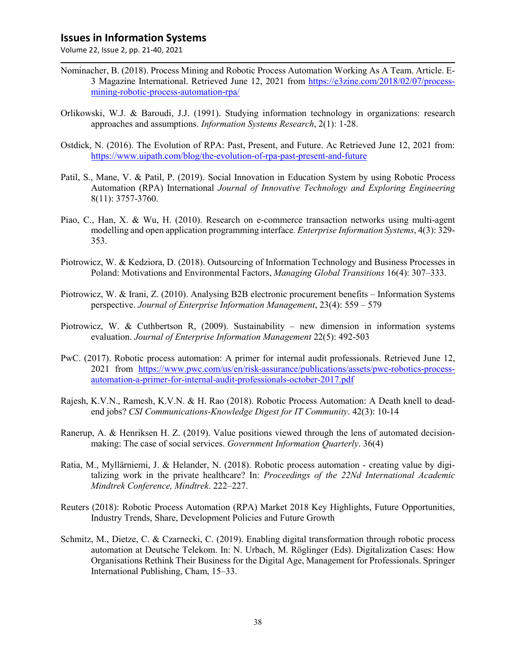- Nominacher, B. (2018). Process Mining and Robotic Process Automation Working As A Team. Article. E-3 Magazine International. Retrieved June 12, 2021 from [https://e3zine.com/2018/02/07/process](https://e3zine.com/2018/02/07/process-mining-robotic-process-automation-rpa/)[mining-robotic-process-automation-rpa/](https://e3zine.com/2018/02/07/process-mining-robotic-process-automation-rpa/)
- Orlikowski, W.J. & Baroudi, J.J. (1991). Studying information technology in organizations: research approaches and assumptions. *Information Systems Research*, 2(1): 1-28.
- Ostdick, N. (2016). The Evolution of RPA: Past, Present, and Future. Ac Retrieved June 12, 2021 from: <https://www.uipath.com/blog/the-evolution-of-rpa-past-present-and-future>
- Patil, S., Mane, V. & Patil, P. (2019). Social Innovation in Education System by using Robotic Process Automation (RPA) International *Journal of Innovative Technology and Exploring Engineering* 8(11): 3757-3760.
- Piao, C., Han, X. & Wu, H. (2010). Research on e-commerce transaction networks using multi-agent modelling and open application programming interface*. Enterprise Information Systems*, 4(3): 329- 353.
- Piotrowicz, W. & Kedziora, D. (2018). Outsourcing of Information Technology and Business Processes in Poland: Motivations and Environmental Factors, *Managing Global Transitions* 16(4): 307–333.
- Piotrowicz, W. & Irani, Z. (2010). Analysing B2B electronic procurement benefits Information Systems perspective. *Journal of Enterprise Information Management*, 23(4): 559 – 579
- Piotrowicz, W. & Cuthbertson R,  $(2009)$ . Sustainability new dimension in information systems evaluation. *Journal of Enterprise Information Management* 22(5): 492-503
- PwC. (2017). Robotic process automation: A primer for internal audit professionals. Retrieved June 12, 2021 from [https://www.pwc.com/us/en/risk-assurance/publications/assets/pwc-robotics-process](https://www.pwc.com/us/en/risk-assurance/publications/assets/pwc-robotics-process-automation-a-primer-for-internal-audit-professionals-october-2017.pdf)[automation-a-primer-for-internal-audit-professionals-october-2017.pdf](https://www.pwc.com/us/en/risk-assurance/publications/assets/pwc-robotics-process-automation-a-primer-for-internal-audit-professionals-october-2017.pdf)
- Rajesh, K.V.N., Ramesh, K.V.N. & H. Rao (2018). Robotic Process Automation: A Death knell to deadend jobs? *CSI Communications-Knowledge Digest for IT Community*. 42(3): 10-14
- Ranerup, A. & Henriksen H. Z. (2019). Value positions viewed through the lens of automated decisionmaking: The case of social services. *Government Information Quarterly*. 36(4)
- Ratia, M., Myllärniemi, J. & Helander, N. (2018). Robotic process automation creating value by digitalizing work in the private healthcare? In: *Proceedings of the 22Nd International Academic Mindtrek Conference, Mindtrek*. 222–227.
- Reuters (2018): Robotic Process Automation (RPA) Market 2018 Key Highlights, Future Opportunities, Industry Trends, Share, Development Policies and Future Growth
- Schmitz, M., Dietze, C. & Czarnecki, C. (2019). Enabling digital transformation through robotic process automation at Deutsche Telekom. In: N. Urbach, M. Röglinger (Eds). Digitalization Cases: How Organisations Rethink Their Business for the Digital Age, Management for Professionals. Springer International Publishing, Cham, 15–33.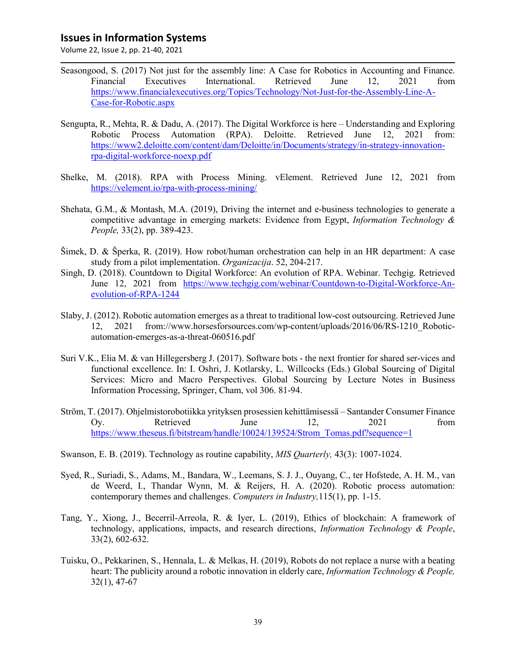- Seasongood, S. (2017) Not just for the assembly line: A Case for Robotics in Accounting and Finance. Financial Executives International. Retrieved June 12, 2021 from [https://www.financialexecutives.org/Topics/Technology/Not-Just-for-the-Assembly-Line-A-](https://www.financialexecutives.org/Topics/Technology/Not-Just-for-the-Assembly-Line-A-Case-for-Robotic.aspx)[Case-for-Robotic.aspx](https://www.financialexecutives.org/Topics/Technology/Not-Just-for-the-Assembly-Line-A-Case-for-Robotic.aspx)
- Sengupta, R., Mehta, R. & Dadu, A. (2017). The Digital Workforce is here Understanding and Exploring Robotic Process Automation (RPA). Deloitte. Retrieved June 12, 2021 from: [https://www2.deloitte.com/content/dam/Deloitte/in/Documents/strategy/in-strategy-innovation](https://www2.deloitte.com/content/dam/Deloitte/in/Documents/strategy/in-strategy-innovation-rpa-digital-workforce-noexp.pdf)[rpa-digital-workforce-noexp.pdf](https://www2.deloitte.com/content/dam/Deloitte/in/Documents/strategy/in-strategy-innovation-rpa-digital-workforce-noexp.pdf)
- Shelke, M. (2018). RPA with Process Mining. vElement. Retrieved June 12, 2021 from <https://velement.io/rpa-with-process-mining/>
- Shehata, G.M., & Montash, M.A. (2019), Driving the internet and e-business technologies to generate a competitive advantage in emerging markets: Evidence from Egypt, *Information Technology & People,* 33(2), pp. 389-423.
- Šimek, D. & Šperka, R. (2019). How robot/human orchestration can help in an HR department: A case study from a pilot implementation. *Organizacija*. 52, 204-217.
- Singh, D. (2018). Countdown to Digital Workforce: An evolution of RPA. Webinar. Techgig. Retrieved June 12, 2021 from [https://www.techgig.com/webinar/Countdown-to-Digital-Workforce-An](https://www.techgig.com/webinar/Countdown-to-Digital-Workforce-An-evolution-of-RPA-1244)[evolution-of-RPA-1244](https://www.techgig.com/webinar/Countdown-to-Digital-Workforce-An-evolution-of-RPA-1244)
- Slaby, J. (2012). Robotic automation emerges as a threat to traditional low-cost outsourcing. Retrieved June 12, 2021 from://www.horsesforsources.com/wp-content/uploads/2016/06/RS-1210\_Roboticautomation-emerges-as-a-threat-060516.pdf
- Suri V.K., Elia M. & van Hillegersberg J. (2017). Software bots the next frontier for shared ser-vices and functional excellence. In: I. Oshri, J. Kotlarsky, L. Willcocks (Eds.) Global Sourcing of Digital Services: Micro and Macro Perspectives. Global Sourcing by Lecture Notes in Business Information Processing, Springer, Cham, vol 306. 81-94.
- Ström, T. (2017). Ohjelmistorobotiikka yrityksen prosessien kehittämisessä Santander Consumer Finance Oy. Retrieved June 12, 2021 from [https://www.theseus.fi/bitstream/handle/10024/139524/Strom\\_Tomas.pdf?sequence=1](https://www.theseus.fi/bitstream/handle/10024/139524/Strom_Tomas.pdf?sequence=1)
- Swanson, E. B. (2019). Technology as routine capability, *MIS Quarterly,* 43(3): 1007-1024.
- Syed, R., Suriadi, S., Adams, M., Bandara, W., Leemans, S. J. J., Ouyang, C., ter Hofstede, A. H. M., van de Weerd, I., Thandar Wynn, M. & Reijers, H. A. (2020). Robotic process automation: contemporary themes and challenges. *Computers in Industry,*115(1), pp. 1-15.
- Tang, Y., Xiong, J., Becerril-Arreola, R. & Iyer, L. (2019), Ethics of blockchain: A framework of technology, applications, impacts, and research directions, *Information Technology & People*, 33(2), 602-632.
- Tuisku, O., Pekkarinen, S., Hennala, L. & Melkas, H. (2019), Robots do not replace a nurse with a beating heart: The publicity around a robotic innovation in elderly care, *Information Technology & People,* 32(1), 47-67